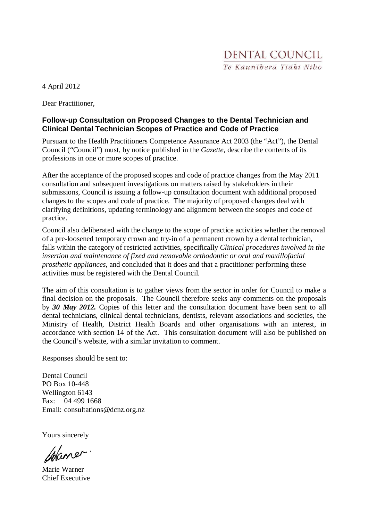4 April 2012

Dear Practitioner,

#### **Follow-up Consultation on Proposed Changes to the Dental Technician and Clinical Dental Technician Scopes of Practice and Code of Practice**

Pursuant to the Health Practitioners Competence Assurance Act 2003 (the "Act"), the Dental Council ("Council") must, by notice published in the *Gazette,* describe the contents of its professions in one or more scopes of practice.

After the acceptance of the proposed scopes and code of practice changes from the May 2011 consultation and subsequent investigations on matters raised by stakeholders in their submissions, Council is issuing a follow-up consultation document with additional proposed changes to the scopes and code of practice. The majority of proposed changes deal with clarifying definitions, updating terminology and alignment between the scopes and code of practice.

Council also deliberated with the change to the scope of practice activities whether the removal of a pre-loosened temporary crown and try-in of a permanent crown by a dental technician, falls within the category of restricted activities, specifically *Clinical procedures involved in the insertion and maintenance of fixed and removable orthodontic or oral and maxillofacial prosthetic appliances,* and concluded that it does and that a practitioner performing these activities must be registered with the Dental Council.

The aim of this consultation is to gather views from the sector in order for Council to make a final decision on the proposals. The Council therefore seeks any comments on the proposals by *30 May 2012.* Copies of this letter and the consultation document have been sent to all dental technicians, clinical dental technicians, dentists, relevant associations and societies, the Ministry of Health, District Health Boards and other organisations with an interest, in accordance with section 14 of the Act. This consultation document will also be published on the Council's website, with a similar invitation to comment.

Responses should be sent to:

Dental Council PO Box 10-448 Wellington 6143 Fax: 04 499 1668 Email: consultations@dcnz.org.nz

Yours sincerely

Islaner.

Marie Warner Chief Executive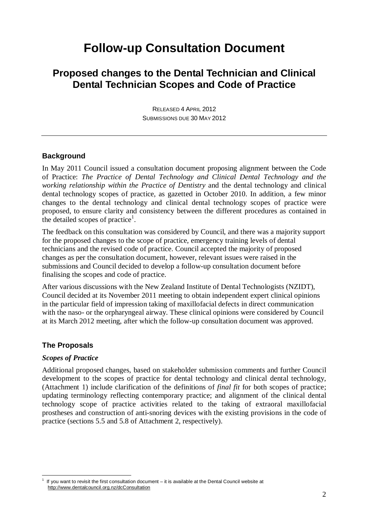# **Follow-up Consultation Document**

### **Proposed changes to the Dental Technician and Clinical Dental Technician Scopes and Code of Practice**

RELEASED 4 APRIL 2012 SUBMISSIONS DUE 30 MAY 2012

#### **Background**

In May 2011 Council issued a consultation document proposing alignment between the Code of Practice: *The Practice of Dental Technology and Clinical Dental Technology and the working relationship within the Practice of Dentistry* and the dental technology and clinical dental technology scopes of practice, as gazetted in October 2010. In addition, a few minor changes to the dental technology and clinical dental technology scopes of practice were proposed, to ensure clarity and consistency between the different procedures as contained in the detailed scopes of practice<sup>1</sup>.

The feedback on this consultation was considered by Council, and there was a majority support for the proposed changes to the scope of practice, emergency training levels of dental technicians and the revised code of practice. Council accepted the majority of proposed changes as per the consultation document, however, relevant issues were raised in the submissions and Council decided to develop a follow-up consultation document before finalising the scopes and code of practice.

After various discussions with the New Zealand Institute of Dental Technologists (NZIDT), Council decided at its November 2011 meeting to obtain independent expert clinical opinions in the particular field of impression taking of maxillofacial defects in direct communication with the naso- or the orpharyngeal airway. These clinical opinions were considered by Council at its March 2012 meeting, after which the follow-up consultation document was approved.

#### **The Proposals**

#### *Scopes of Practice*

 $\overline{a}$ 

Additional proposed changes, based on stakeholder submission comments and further Council development to the scopes of practice for dental technology and clinical dental technology, (Attachment 1) include clarification of the definitions of *final fit* for both scopes of practice; updating terminology reflecting contemporary practice; and alignment of the clinical dental technology scope of practice activities related to the taking of extraoral maxillofacial prostheses and construction of anti-snoring devices with the existing provisions in the code of practice (sections 5.5 and 5.8 of Attachment 2, respectively).

<sup>1</sup> If you want to revisit the first consultation document – it is available at the Dental Council website at http://www.dentalcouncil.org.nz/dcConsultation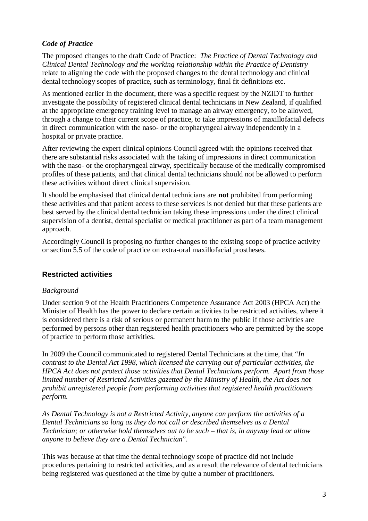#### *Code of Practice*

The proposed changes to the draft Code of Practice: *The Practice of Dental Technology and Clinical Dental Technology and the working relationship within the Practice of Dentistry*  relate to aligning the code with the proposed changes to the dental technology and clinical dental technology scopes of practice, such as terminology, final fit definitions etc.

As mentioned earlier in the document, there was a specific request by the NZIDT to further investigate the possibility of registered clinical dental technicians in New Zealand, if qualified at the appropriate emergency training level to manage an airway emergency, to be allowed, through a change to their current scope of practice, to take impressions of maxillofacial defects in direct communication with the naso- or the oropharyngeal airway independently in a hospital or private practice.

After reviewing the expert clinical opinions Council agreed with the opinions received that there are substantial risks associated with the taking of impressions in direct communication with the naso- or the oropharyngeal airway, specifically because of the medically compromised profiles of these patients, and that clinical dental technicians should not be allowed to perform these activities without direct clinical supervision.

It should be emphasised that clinical dental technicians are **not** prohibited from performing these activities and that patient access to these services is not denied but that these patients are best served by the clinical dental technician taking these impressions under the direct clinical supervision of a dentist, dental specialist or medical practitioner as part of a team management approach.

Accordingly Council is proposing no further changes to the existing scope of practice activity or section 5.5 of the code of practice on extra-oral maxillofacial prostheses.

#### **Restricted activities**

#### *Background*

Under section 9 of the Health Practitioners Competence Assurance Act 2003 (HPCA Act) the Minister of Health has the power to declare certain activities to be restricted activities, where it is considered there is a risk of serious or permanent harm to the public if those activities are performed by persons other than registered health practitioners who are permitted by the scope of practice to perform those activities.

In 2009 the Council communicated to registered Dental Technicians at the time, that "*In contrast to the Dental Act 1998, which licensed the carrying out of particular activities, the HPCA Act does not protect those activities that Dental Technicians perform. Apart from those limited number of Restricted Activities gazetted by the Ministry of Health, the Act does not prohibit unregistered people from performing activities that registered health practitioners perform.* 

*As Dental Technology is not a Restricted Activity, anyone can perform the activities of a Dental Technicians so long as they do not call or described themselves as a Dental Technician; or otherwise hold themselves out to be such – that is, in anyway lead or allow anyone to believe they are a Dental Technician*".

This was because at that time the dental technology scope of practice did not include procedures pertaining to restricted activities, and as a result the relevance of dental technicians being registered was questioned at the time by quite a number of practitioners.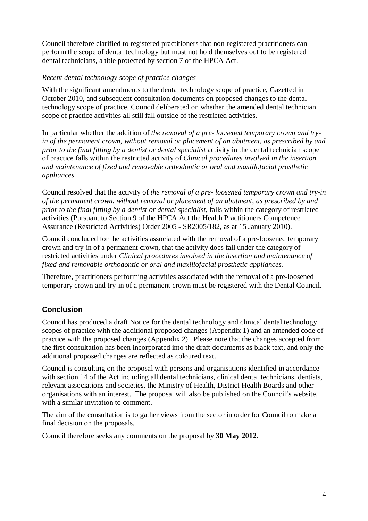Council therefore clarified to registered practitioners that non-registered practitioners can perform the scope of dental technology but must not hold themselves out to be registered dental technicians, a title protected by section 7 of the HPCA Act.

#### *Recent dental technology scope of practice changes*

With the significant amendments to the dental technology scope of practice, Gazetted in October 2010, and subsequent consultation documents on proposed changes to the dental technology scope of practice, Council deliberated on whether the amended dental technician scope of practice activities all still fall outside of the restricted activities.

In particular whether the addition of *the removal of a pre- loosened temporary crown and tryin of the permanent crown, without removal or placement of an abutment, as prescribed by and prior to the final fitting by a dentist or dental specialist* activity in the dental technician scope of practice falls within the restricted activity of *Clinical procedures involved in the insertion and maintenance of fixed and removable orthodontic or oral and maxillofacial prosthetic appliances.* 

Council resolved that the activity of *the removal of a pre- loosened temporary crown and try-in of the permanent crown, without removal or placement of an abutment, as prescribed by and prior to the final fitting by a dentist or dental specialist*, falls within the category of restricted activities (Pursuant to Section 9 of the HPCA Act the Health Practitioners Competence Assurance (Restricted Activities) Order 2005 - SR2005/182, as at 15 January 2010).

Council concluded for the activities associated with the removal of a pre-loosened temporary crown and try-in of a permanent crown, that the activity does fall under the category of restricted activities under *Clinical procedures involved in the insertion and maintenance of fixed and removable orthodontic or oral and maxillofacial prosthetic appliances.*

Therefore, practitioners performing activities associated with the removal of a pre-loosened temporary crown and try-in of a permanent crown must be registered with the Dental Council.

#### **Conclusion**

Council has produced a draft Notice for the dental technology and clinical dental technology scopes of practice with the additional proposed changes (Appendix 1) and an amended code of practice with the proposed changes (Appendix 2). Please note that the changes accepted from the first consultation has been incorporated into the draft documents as black text, and only the additional proposed changes are reflected as coloured text.

Council is consulting on the proposal with persons and organisations identified in accordance with section 14 of the Act including all dental technicians, clinical dental technicians, dentists, relevant associations and societies, the Ministry of Health, District Health Boards and other organisations with an interest. The proposal will also be published on the Council's website, with a similar invitation to comment.

The aim of the consultation is to gather views from the sector in order for Council to make a final decision on the proposals.

Council therefore seeks any comments on the proposal by **30 May 2012.**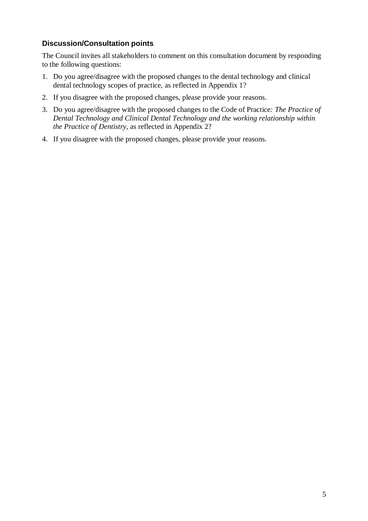#### **Discussion/Consultation points**

The Council invites all stakeholders to comment on this consultation document by responding to the following questions:

- 1. Do you agree/disagree with the proposed changes to the dental technology and clinical dental technology scopes of practice, as reflected in Appendix 1?
- 2. If you disagree with the proposed changes, please provide your reasons.
- 3. Do you agree/disagree with the proposed changes to the Code of Practice*: The Practice of Dental Technology and Clinical Dental Technology and the working relationship within the Practice of Dentistry,* as reflected in Appendix 2?
- 4. If you disagree with the proposed changes, please provide your reasons.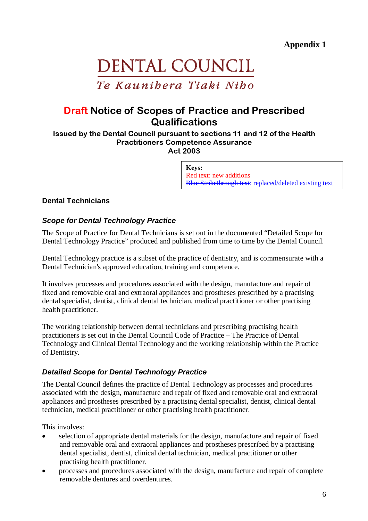# DENTAL COUNCIL Te Kaunibera Tiaki Nibo

## Draft Notice of Scopes of Practice and Prescribed **Qualifications**

Issued by the Dental Council pursuant to sections 11 and 12 of the Health Practitioners Competence Assurance Act 2003

> **Keys:** Red text: new additions Blue Strikethrough text: replaced/deleted existing text

#### **Dental Technicians**

#### **Scope for Dental Technology Practice**

The Scope of Practice for Dental Technicians is set out in the documented "Detailed Scope for Dental Technology Practice" produced and published from time to time by the Dental Council.

Dental Technology practice is a subset of the practice of dentistry, and is commensurate with a Dental Technician's approved education, training and competence.

It involves processes and procedures associated with the design, manufacture and repair of fixed and removable oral and extraoral appliances and prostheses prescribed by a practising dental specialist, dentist, clinical dental technician, medical practitioner or other practising health practitioner.

The working relationship between dental technicians and prescribing practising health practitioners is set out in the Dental Council Code of Practice – The Practice of Dental Technology and Clinical Dental Technology and the working relationship within the Practice of Dentistry.

#### **Detailed Scope for Dental Technology Practice**

The Dental Council defines the practice of Dental Technology as processes and procedures associated with the design, manufacture and repair of fixed and removable oral and extraoral appliances and prostheses prescribed by a practising dental specialist, dentist, clinical dental technician, medical practitioner or other practising health practitioner.

This involves:

- selection of appropriate dental materials for the design, manufacture and repair of fixed and removable oral and extraoral appliances and prostheses prescribed by a practising dental specialist, dentist, clinical dental technician, medical practitioner or other practising health practitioner.
- processes and procedures associated with the design, manufacture and repair of complete removable dentures and overdentures.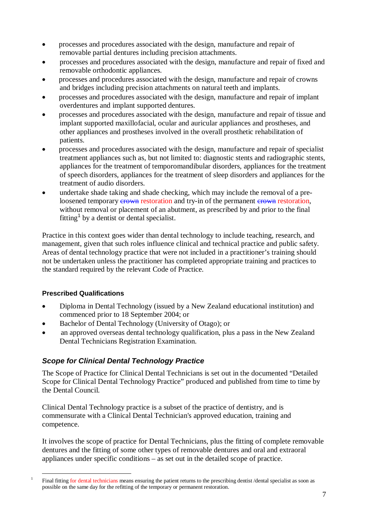- processes and procedures associated with the design, manufacture and repair of removable partial dentures including precision attachments.
- processes and procedures associated with the design, manufacture and repair of fixed and removable orthodontic appliances.
- processes and procedures associated with the design, manufacture and repair of crowns and bridges including precision attachments on natural teeth and implants.
- processes and procedures associated with the design, manufacture and repair of implant overdentures and implant supported dentures.
- processes and procedures associated with the design, manufacture and repair of tissue and implant supported maxillofacial, ocular and auricular appliances and prostheses, and other appliances and prostheses involved in the overall prosthetic rehabilitation of patients.
- processes and procedures associated with the design, manufacture and repair of specialist treatment appliances such as, but not limited to: diagnostic stents and radiographic stents, appliances for the treatment of temporomandibular disorders, appliances for the treatment of speech disorders, appliances for the treatment of sleep disorders and appliances for the treatment of audio disorders.
- undertake shade taking and shade checking, which may include the removal of a preloosened temporary erown restoration and try-in of the permanent erown restoration, without removal or placement of an abutment, as prescribed by and prior to the final fitting<sup>1</sup> by a dentist or dental specialist.

Practice in this context goes wider than dental technology to include teaching, research, and management, given that such roles influence clinical and technical practice and public safety. Areas of dental technology practice that were not included in a practitioner's training should not be undertaken unless the practitioner has completed appropriate training and practices to the standard required by the relevant Code of Practice.

#### **Prescribed Qualifications**

 $\overline{a}$ 1

- Diploma in Dental Technology (issued by a New Zealand educational institution) and commenced prior to 18 September 2004; or
- Bachelor of Dental Technology (University of Otago); or
- an approved overseas dental technology qualification, plus a pass in the New Zealand Dental Technicians Registration Examination.

#### **Scope for Clinical Dental Technology Practice**

The Scope of Practice for Clinical Dental Technicians is set out in the documented "Detailed Scope for Clinical Dental Technology Practice" produced and published from time to time by the Dental Council.

Clinical Dental Technology practice is a subset of the practice of dentistry, and is commensurate with a Clinical Dental Technician's approved education, training and competence.

It involves the scope of practice for Dental Technicians, plus the fitting of complete removable dentures and the fitting of some other types of removable dentures and oral and extraoral appliances under specific conditions – as set out in the detailed scope of practice.

Final fitting for dental technicians means ensuring the patient returns to the prescribing dentist /dental specialist as soon as possible on the same day for the refitting of the temporary or permanent restoration.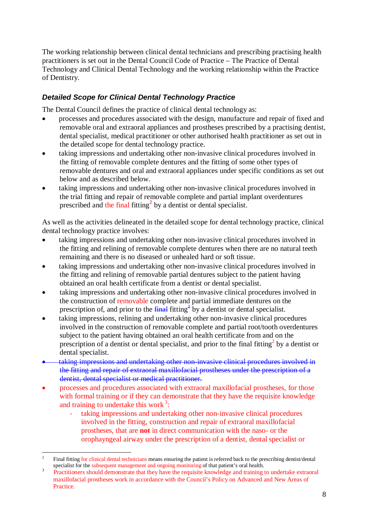The working relationship between clinical dental technicians and prescribing practising health practitioners is set out in the Dental Council Code of Practice – The Practice of Dental Technology and Clinical Dental Technology and the working relationship within the Practice of Dentistry.

#### **Detailed Scope for Clinical Dental Technology Practice**

The Dental Council defines the practice of clinical dental technology as:

- processes and procedures associated with the design, manufacture and repair of fixed and removable oral and extraoral appliances and prostheses prescribed by a practising dentist, dental specialist, medical practitioner or other authorised health practitioner as set out in the detailed scope for dental technology practice.
- taking impressions and undertaking other non-invasive clinical procedures involved in the fitting of removable complete dentures and the fitting of some other types of removable dentures and oral and extraoral appliances under specific conditions as set out below and as described below.
- taking impressions and undertaking other non-invasive clinical procedures involved in the trial fitting and repair of removable complete and partial implant overdentures prescribed and the final fitting<sup>2</sup> by a dentist or dental specialist.

As well as the activities delineated in the detailed scope for dental technology practice, clinical dental technology practice involves:

- taking impressions and undertaking other non-invasive clinical procedures involved in the fitting and relining of removable complete dentures when there are no natural teeth remaining and there is no diseased or unhealed hard or soft tissue.
- taking impressions and undertaking other non-invasive clinical procedures involved in the fitting and relining of removable partial dentures subject to the patient having obtained an oral health certificate from a dentist or dental specialist.
- taking impressions and undertaking other non-invasive clinical procedures involved in the construction of removable complete and partial immediate dentures on the prescription of, and prior to the  $\frac{final}{fitting}$  fitting<sup>2</sup> by a dentist or dental specialist.
- taking impressions, relining and undertaking other non-invasive clinical procedures involved in the construction of removable complete and partial root/tooth overdentures subject to the patient having obtained an oral health certificate from and on the prescription of a dentist or dental specialist, and prior to the final fitting<sup>2</sup> by a dentist or dental specialist.
- taking impressions and undertaking other non-invasive clinical procedures involved in the fitting and repair of extraoral maxillofacial prostheses under the prescription of a dentist, dental specialist or medical practitioner.
- processes and procedures associated with extraoral maxillofacial prostheses, for those with formal training or if they can demonstrate that they have the requisite knowledge and training to undertake this work $3$ :
	- taking impressions and undertaking other non-invasive clinical procedures involved in the fitting, construction and repair of extraoral maxillofacial prostheses, that are **not** in direct communication with the naso- or the orophayngeal airway under the prescription of a dentist, dental specialist or

 $\frac{1}{2}$  Final fitting for clinical dental technicians means ensuring the patient is referred back to the prescribing dentist/dental specialist for the subsequent management and ongoing monitoring of that patient's oral health.

<sup>3</sup> Practitioners should demonstrate that they have the requisite knowledge and training to undertake extraoral maxillofacial prostheses work in accordance with the Council's Policy on Advanced and New Areas of Practice.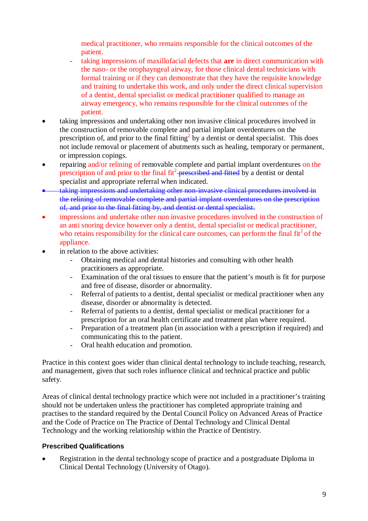medical practitioner, who remains responsible for the clinical outcomes of the patient.

- taking impressions of maxillofacial defects that **are** in direct communication with the naso- or the orophayngeal airway, for those clinical dental technicians with formal training or if they can demonstrate that they have the requisite knowledge and training to undertake this work, and only under the direct clinical supervision of a dentist, dental specialist or medical practitioner qualified to manage an airway emergency, who remains responsible for the clinical outcomes of the patient.
- taking impressions and undertaking other non invasive clinical procedures involved in the construction of removable complete and partial implant overdentures on the prescription of, and prior to the final fitting<sup>2</sup> by a dentist or dental specialist. This does not include removal or placement of abutments such as healing, temporary or permanent, or impression copings.
- repairing and/or relining of removable complete and partial implant overdentures on the prescription of and prior to the final fit<sup>2</sup>-prescribed and fitted by a dentist or dental specialist and appropriate referral when indicated.
- taking impressions and undertaking other non-invasive clinical procedures involved in the relining of removable complete and partial implant overdentures on the prescription of, and prior to the final fitting by, and dentist or dental specialist.
- impressions and undertake other non invasive procedures involved in the construction of an anti snoring device however only a dentist, dental specialist or medical practitioner, who retains responsibility for the clinical care outcomes, can perform the final  $fit<sup>2</sup>$  of the appliance.
- in relation to the above activities:
	- Obtaining medical and dental histories and consulting with other health practitioners as appropriate.
	- Examination of the oral tissues to ensure that the patient's mouth is fit for purpose and free of disease, disorder or abnormality.
	- Referral of patients to a dentist, dental specialist or medical practitioner when any disease, disorder or abnormality is detected.
	- Referral of patients to a dentist, dental specialist or medical practitioner for a prescription for an oral health certificate and treatment plan where required.
	- Preparation of a treatment plan (in association with a prescription if required) and communicating this to the patient.
	- Oral health education and promotion.

Practice in this context goes wider than clinical dental technology to include teaching, research, and management, given that such roles influence clinical and technical practice and public safety.

Areas of clinical dental technology practice which were not included in a practitioner's training should not be undertaken unless the practitioner has completed appropriate training and practises to the standard required by the Dental Council Policy on Advanced Areas of Practice and the Code of Practice on The Practice of Dental Technology and Clinical Dental Technology and the working relationship within the Practice of Dentistry.

#### **Prescribed Qualifications**

• Registration in the dental technology scope of practice and a postgraduate Diploma in Clinical Dental Technology (University of Otago).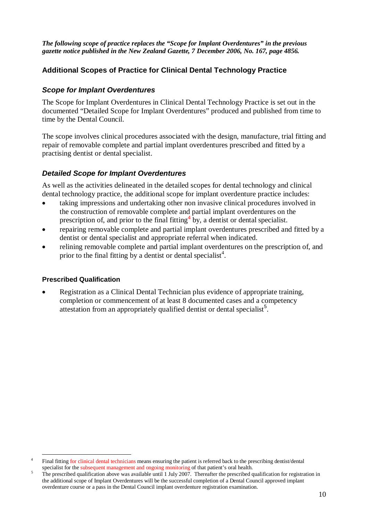*The following scope of practice replaces the "Scope for Implant Overdentures" in the previous gazette notice published in the New Zealand Gazette, 7 December 2006, No. 167, page 4856.*

#### **Additional Scopes of Practice for Clinical Dental Technology Practice**

#### **Scope for Implant Overdentures**

The Scope for Implant Overdentures in Clinical Dental Technology Practice is set out in the documented "Detailed Scope for Implant Overdentures" produced and published from time to time by the Dental Council.

The scope involves clinical procedures associated with the design, manufacture, trial fitting and repair of removable complete and partial implant overdentures prescribed and fitted by a practising dentist or dental specialist.

#### **Detailed Scope for Implant Overdentures**

As well as the activities delineated in the detailed scopes for dental technology and clinical dental technology practice, the additional scope for implant overdenture practice includes:

- taking impressions and undertaking other non invasive clinical procedures involved in the construction of removable complete and partial implant overdentures on the prescription of, and prior to the final fitting  $4$  by, a dentist or dental specialist.
- repairing removable complete and partial implant overdentures prescribed and fitted by a dentist or dental specialist and appropriate referral when indicated.
- relining removable complete and partial implant overdentures on the prescription of, and prior to the final fitting by a dentist or dental specialist<sup>4</sup>.

#### **Prescribed Qualification**

• Registration as a Clinical Dental Technician plus evidence of appropriate training, completion or commencement of at least 8 documented cases and a competency attestation from an appropriately qualified dentist or dental specialist<sup>5</sup>.

 $\overline{a}$ 4 Final fitting for clinical dental technicians means ensuring the patient is referred back to the prescribing dentist/dental specialist for the subsequent management and ongoing monitoring of that patient's oral health.

<sup>5</sup>The prescribed qualification above was available until 1 July 2007. Thereafter the prescribed qualification for registration in the additional scope of Implant Overdentures will be the successful completion of a Dental Council approved implant overdenture course or a pass in the Dental Council implant overdenture registration examination.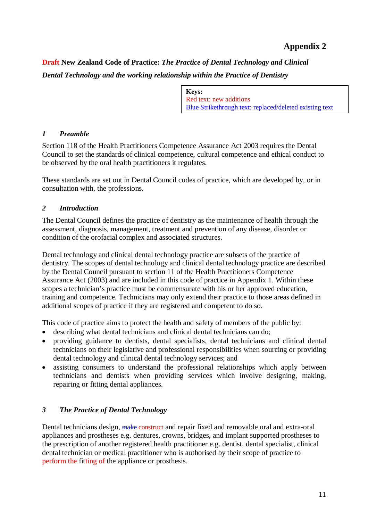**Draft New Zealand Code of Practice:** *The Practice of Dental Technology and Clinical Dental Technology and the working relationship within the Practice of Dentistry*

> **Keys:** Red text: new additions Blue Strikethrough text: replaced/deleted existing text

#### *1 Preamble*

Section 118 of the Health Practitioners Competence Assurance Act 2003 requires the Dental Council to set the standards of clinical competence, cultural competence and ethical conduct to be observed by the oral health practitioners it regulates.

These standards are set out in Dental Council codes of practice, which are developed by, or in consultation with, the professions.

#### *2 Introduction*

The Dental Council defines the practice of dentistry as the maintenance of health through the assessment, diagnosis, management, treatment and prevention of any disease, disorder or condition of the orofacial complex and associated structures.

Dental technology and clinical dental technology practice are subsets of the practice of dentistry. The scopes of dental technology and clinical dental technology practice are described by the Dental Council pursuant to section 11 of the Health Practitioners Competence Assurance Act (2003) and are included in this code of practice in Appendix 1. Within these scopes a technician's practice must be commensurate with his or her approved education, training and competence. Technicians may only extend their practice to those areas defined in additional scopes of practice if they are registered and competent to do so.

This code of practice aims to protect the health and safety of members of the public by:

- describing what dental technicians and clinical dental technicians can do;
- providing guidance to dentists, dental specialists, dental technicians and clinical dental technicians on their legislative and professional responsibilities when sourcing or providing dental technology and clinical dental technology services; and
- assisting consumers to understand the professional relationships which apply between technicians and dentists when providing services which involve designing, making, repairing or fitting dental appliances.

#### *3 The Practice of Dental Technology*

Dental technicians design, make construct and repair fixed and removable oral and extra-oral appliances and prostheses e.g. dentures, crowns, bridges, and implant supported prostheses to the prescription of another registered health practitioner e.g. dentist, dental specialist, clinical dental technician or medical practitioner who is authorised by their scope of practice to perform the fitting of the appliance or prosthesis.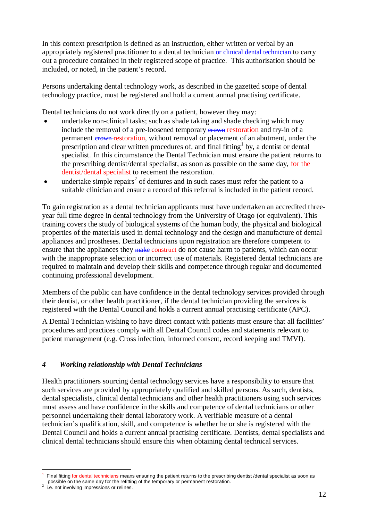In this context prescription is defined as an instruction, either written or verbal by an appropriately registered practitioner to a dental technician or clinical dental technician to carry out a procedure contained in their registered scope of practice. This authorisation should be included, or noted, in the patient's record.

Persons undertaking dental technology work, as described in the gazetted scope of dental technology practice, must be registered and hold a current annual practising certificate.

Dental technicians do not work directly on a patient, however they may:

- undertake non-clinical tasks; such as shade taking and shade checking which may include the removal of a pre-loosened temporary erown restoration and try-in of a permanent crown restoration, without removal or placement of an abutment, under the prescription and clear written procedures of, and final fitting  $\mathfrak b$  by, a dentist or dental specialist.In this circumstance the Dental Technician must ensure the patient returns to the prescribing dentist/dental specialist, as soon as possible on the same day, for the dentist/dental specialist to recement the restoration.
- $\bullet$  undertake simple repairs<sup>2</sup> of dentures and in such cases must refer the patient to a suitable clinician and ensure a record of this referral is included in the patient record.

To gain registration as a dental technician applicants must have undertaken an accredited threeyear full time degree in dental technology from the University of Otago (or equivalent). This training covers the study of biological systems of the human body, the physical and biological properties of the materials used in dental technology and the design and manufacture of dental appliances and prostheses. Dental technicians upon registration are therefore competent to ensure that the appliances they make construct do not cause harm to patients, which can occur with the inappropriate selection or incorrect use of materials. Registered dental technicians are required to maintain and develop their skills and competence through regular and documented continuing professional development.

Members of the public can have confidence in the dental technology services provided through their dentist, or other health practitioner, if the dental technician providing the services is registered with the Dental Council and holds a current annual practising certificate (APC).

A Dental Technician wishing to have direct contact with patients must ensure that all facilities' procedures and practices comply with all Dental Council codes and statements relevant to patient management (e.g. Cross infection, informed consent, record keeping and TMVI).

#### *4 Working relationship with Dental Technicians*

Health practitioners sourcing dental technology services have a responsibility to ensure that such services are provided by appropriately qualified and skilled persons. As such, dentists, dental specialists, clinical dental technicians and other health practitioners using such services must assess and have confidence in the skills and competence of dental technicians or other personnel undertaking their dental laboratory work. A verifiable measure of a dental technician's qualification, skill, and competence is whether he or she is registered with the Dental Council and holds a current annual practising certificate. Dentists, dental specialists and clinical dental technicians should ensure this when obtaining dental technical services.

 $\overline{a}$ 

<sup>1</sup> Final fitting for dental technicians means ensuring the patient returns to the prescribing dentist /dental specialist as soon as possible on the same day for the refitting of the temporary or permanent restoration.

 $2$  i.e. not involving impressions or relines.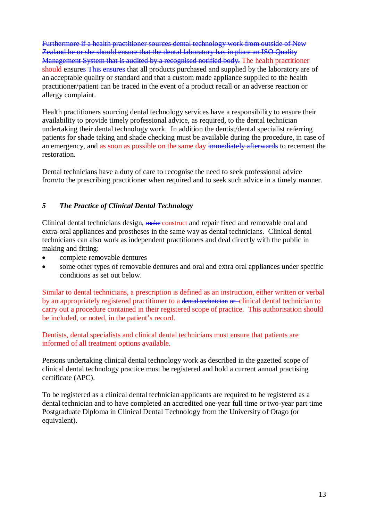Furthermore if a health practitioner sources dental technology work from outside of New Zealand he or she should ensure that the dental laboratory has in place an ISO Quality Management System that is audited by a recognised notified body. The health practitioner should ensures This ensures that all products purchased and supplied by the laboratory are of an acceptable quality or standard and that a custom made appliance supplied to the health practitioner/patient can be traced in the event of a product recall or an adverse reaction or allergy complaint.

Health practitioners sourcing dental technology services have a responsibility to ensure their availability to provide timely professional advice, as required, to the dental technician undertaking their dental technology work. In addition the dentist/dental specialist referring patients for shade taking and shade checking must be available during the procedure, in case of an emergency, and as soon as possible on the same day immediately afterwards to recement the restoration.

Dental technicians have a duty of care to recognise the need to seek professional advice from/to the prescribing practitioner when required and to seek such advice in a timely manner.

#### *5 The Practice of Clinical Dental Technology*

Clinical dental technicians design, make construct and repair fixed and removable oral and extra-oral appliances and prostheses in the same way as dental technicians. Clinical dental technicians can also work as independent practitioners and deal directly with the public in making and fitting:

- complete removable dentures
- some other types of removable dentures and oral and extra oral appliances under specific conditions as set out below.

Similar to dental technicians, a prescription is defined as an instruction, either written or verbal by an appropriately registered practitioner to a dental technician or -clinical dental technician to carry out a procedure contained in their registered scope of practice. This authorisation should be included, or noted, in the patient's record.

Dentists, dental specialists and clinical dental technicians must ensure that patients are informed of all treatment options available.

Persons undertaking clinical dental technology work as described in the gazetted scope of clinical dental technology practice must be registered and hold a current annual practising certificate (APC).

To be registered as a clinical dental technician applicants are required to be registered as a dental technician and to have completed an accredited one-year full time or two-year part time Postgraduate Diploma in Clinical Dental Technology from the University of Otago (or equivalent).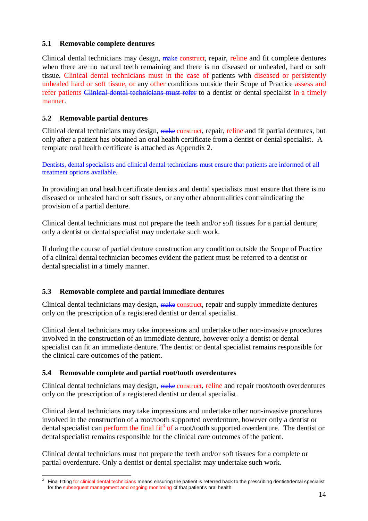#### **5.1 Removable complete dentures**

Clinical dental technicians may design, make construct, repair, reline and fit complete dentures when there are no natural teeth remaining and there is no diseased or unhealed, hard or soft tissue. Clinical dental technicians must in the case of patients with diseased or persistently unhealed hard or soft tissue, or any other conditions outside their Scope of Practice assess and refer patients Clinical dental technicians must refer to a dentist or dental specialist in a timely manner.

#### **5.2 Removable partial dentures**

Clinical dental technicians may design, make construct, repair, reline and fit partial dentures, but only after a patient has obtained an oral health certificate from a dentist or dental specialist. A template oral health certificate is attached as Appendix 2.

Dentists, dental specialists and clinical dental technicians must ensure that patients are informed of all treatment options available.

In providing an oral health certificate dentists and dental specialists must ensure that there is no diseased or unhealed hard or soft tissues, or any other abnormalities contraindicating the provision of a partial denture.

Clinical dental technicians must not prepare the teeth and/or soft tissues for a partial denture; only a dentist or dental specialist may undertake such work.

If during the course of partial denture construction any condition outside the Scope of Practice of a clinical dental technician becomes evident the patient must be referred to a dentist or dental specialist in a timely manner.

#### **5.3 Removable complete and partial immediate dentures**

Clinical dental technicians may design, make construct, repair and supply immediate dentures only on the prescription of a registered dentist or dental specialist.

Clinical dental technicians may take impressions and undertake other non-invasive procedures involved in the construction of an immediate denture, however only a dentist or dental specialist can fit an immediate denture. The dentist or dental specialist remains responsible for the clinical care outcomes of the patient.

#### **5.4 Removable complete and partial root/tooth overdentures**

Clinical dental technicians may design, make construct, reline and repair root/tooth overdentures only on the prescription of a registered dentist or dental specialist.

Clinical dental technicians may take impressions and undertake other non-invasive procedures involved in the construction of a root/tooth supported overdenture, however only a dentist or dental specialist can perform the final fit<sup>3</sup> of a root/tooth supported overdenture. The dentist or dental specialist remains responsible for the clinical care outcomes of the patient.

Clinical dental technicians must not prepare the teeth and/or soft tissues for a complete or partial overdenture. Only a dentist or dental specialist may undertake such work.

<sup>-&</sup>lt;br>3 Final fitting for clinical dental technicians means ensuring the patient is referred back to the prescribing dentist/dental specialist for the subsequent management and ongoing monitoring of that patient's oral health.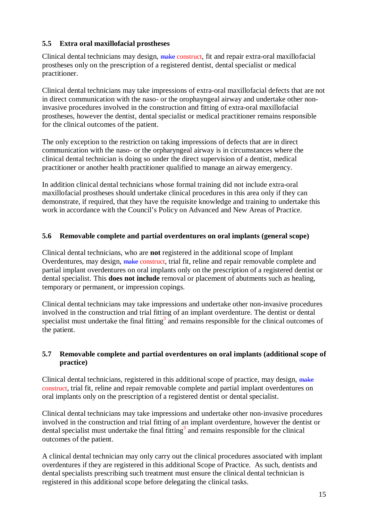#### **5.5 Extra oral maxillofacial prostheses**

Clinical dental technicians may design, make construct, fit and repair extra-oral maxillofacial prostheses only on the prescription of a registered dentist, dental specialist or medical practitioner.

Clinical dental technicians may take impressions of extra-oral maxillofacial defects that are not in direct communication with the naso- or the orophayngeal airway and undertake other noninvasive procedures involved in the construction and fitting of extra-oral maxillofacial prostheses, however the dentist, dental specialist or medical practitioner remains responsible for the clinical outcomes of the patient.

The only exception to the restriction on taking impressions of defects that are in direct communication with the naso- or the orpharyngeal airway is in circumstances where the clinical dental technician is doing so under the direct supervision of a dentist, medical practitioner or another health practitioner qualified to manage an airway emergency.

In addition clinical dental technicians whose formal training did not include extra-oral maxillofacial prostheses should undertake clinical procedures in this area only if they can demonstrate, if required, that they have the requisite knowledge and training to undertake this work in accordance with the Council's Policy on Advanced and New Areas of Practice.

#### **5.6 Removable complete and partial overdentures on oral implants (general scope)**

Clinical dental technicians, who are **not** registered in the additional scope of Implant Overdentures, may design, make construct, trial fit, reline and repair removable complete and partial implant overdentures on oral implants only on the prescription of a registered dentist or dental specialist. This **does not include** removal or placement of abutments such as healing, temporary or permanent, or impression copings.

Clinical dental technicians may take impressions and undertake other non-invasive procedures involved in the construction and trial fitting of an implant overdenture. The dentist or dental specialist must undertake the final fitting<sup>3</sup> and remains responsible for the clinical outcomes of the patient.

#### **5.7 Removable complete and partial overdentures on oral implants (additional scope of practice)**

Clinical dental technicians, registered in this additional scope of practice, may design, make construct, trial fit, reline and repair removable complete and partial implant overdentures on oral implants only on the prescription of a registered dentist or dental specialist.

Clinical dental technicians may take impressions and undertake other non-invasive procedures involved in the construction and trial fitting of an implant overdenture, however the dentist or dental specialist must undertake the final fitting<sup>3</sup> and remains responsible for the clinical outcomes of the patient.

A clinical dental technician may only carry out the clinical procedures associated with implant overdentures if they are registered in this additional Scope of Practice. As such, dentists and dental specialists prescribing such treatment must ensure the clinical dental technician is registered in this additional scope before delegating the clinical tasks.